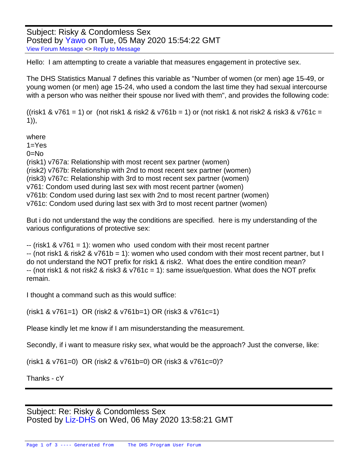Subject: Risky & Condomless Sex Posted by [Yawo](https://userforum.dhsprogram.com/index.php?t=usrinfo&id=7316) on Tue, 05 May 2020 15:54:22 GMT [View Forum Message](https://userforum.dhsprogram.com/index.php?t=rview&th=8881&goto=19179#msg_19179) <> [Reply to Message](https://userforum.dhsprogram.com/index.php?t=post&reply_to=19179)

Hello: I am attempting to create a variable that measures engagement in protective sex.

The DHS Statistics Manual 7 defines this variable as "Number of women (or men) age 15-49, or young women (or men) age 15-24, who used a condom the last time they had sexual intercourse with a person who was neither their spouse nor lived with them", and provides the following code:

((risk1 & v761 = 1) or (not risk1 & risk2 & v761b = 1) or (not risk1 & not risk2 & risk3 & v761c = 1)),

where  $1 = Yes$  $0=$ No (risk1) v767a: Relationship with most recent sex partner (women) (risk2) v767b: Relationship with 2nd to most recent sex partner (women) (risk3) v767c: Relationship with 3rd to most recent sex partner (women) v761: Condom used during last sex with most recent partner (women) v761b: Condom used during last sex with 2nd to most recent partner (women) v761c: Condom used during last sex with 3rd to most recent partner (women)

But i do not understand the way the conditions are specified. here is my understanding of the various configurations of protective sex:

 $-$  (risk1 & v761 = 1): women who used condom with their most recent partner -- (not risk1 & risk2 & v761b = 1): women who used condom with their most recent partner, but I do not understand the NOT prefix for risk1 & risk2. What does the entire condition mean? -- (not risk1 & not risk2 & risk3 & v761c = 1): same issue/question. What does the NOT prefix remain.

I thought a command such as this would suffice:

(risk1 & v761=1) OR (risk2 & v761b=1) OR (risk3 & v761c=1)

Please kindly let me know if I am misunderstanding the measurement.

Secondly, if i want to measure risky sex, what would be the approach? Just the converse, like:

(risk1 & v761=0) OR (risk2 & v761b=0) OR (risk3 & v761c=0)?

Thanks - cY

Subject: Re: Risky & Condomless Sex Posted by [Liz-DHS](https://userforum.dhsprogram.com/index.php?t=usrinfo&id=9) on Wed, 06 May 2020 13:58:21 GMT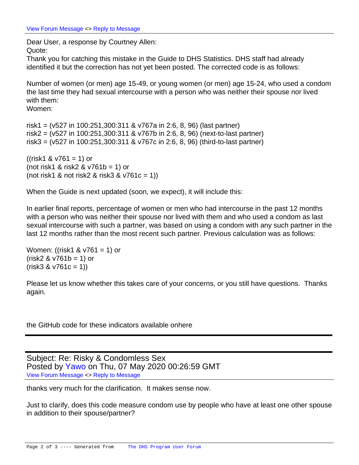Dear User, a response by Courtney Allen: Quote:

Thank you for catching this mistake in the Guide to DHS Statistics. DHS staff had already identified it but the correction has not yet been posted. The corrected code is as follows:

Number of women (or men) age 15-49, or young women (or men) age 15-24, who used a condom the last time they had sexual intercourse with a person who was neither their spouse nor lived with them:

Women:

risk1 = (v527 in 100:251,300:311 & v767a in 2:6, 8, 96) (last partner) risk2 = (v527 in 100:251,300:311 & v767b in 2:6, 8, 96) (next-to-last partner) risk3 = (v527 in 100:251,300:311 & v767c in 2:6, 8, 96) (third-to-last partner)

 $((risk1 \& v761 = 1)$  or (not risk1 & risk2 &  $v761b = 1$ ) or (not risk1 & not risk2 & risk3 &  $v761c = 1$ ))

When the Guide is next updated (soon, we expect), it will include this:

In earlier final reports, percentage of women or men who had intercourse in the past 12 months with a person who was neither their spouse nor lived with them and who used a condom as last sexual intercourse with such a partner, was based on using a condom with any such partner in the last 12 months rather than the most recent such partner. Previous calculation was as follows:

Women: ((risk1 & v761 = 1) or  $(risk2 & 0.761b = 1)$  or  $(risk3 & v761c = 1)$ 

Please let us know whether this takes care of your concerns, or you still have questions. Thanks again.

the GitHub code for these indicators available onhere

Subject: Re: Risky & Condomless Sex Posted by [Yawo](https://userforum.dhsprogram.com/index.php?t=usrinfo&id=7316) on Thu, 07 May 2020 00:26:59 GMT [View Forum Message](https://userforum.dhsprogram.com/index.php?t=rview&th=8881&goto=19185#msg_19185) <> [Reply to Message](https://userforum.dhsprogram.com/index.php?t=post&reply_to=19185)

thanks very much for the clarification. It makes sense now.

Just to clarify, does this code measure condom use by people who have at least one other spouse in addition to their spouse/partner?